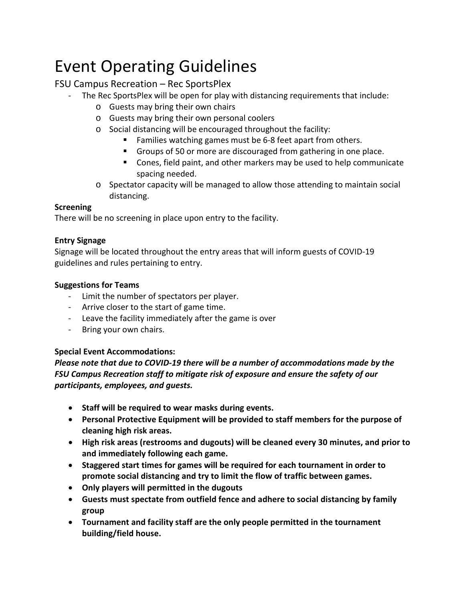# Event Operating Guidelines

## FSU Campus Recreation – Rec SportsPlex

- The Rec SportsPlex will be open for play with distancing requirements that include:
	- o Guests may bring their own chairs
	- o Guests may bring their own personal coolers
	- o Social distancing will be encouraged throughout the facility:
		- Families watching games must be 6-8 feet apart from others.
		- Groups of 50 or more are discouraged from gathering in one place.
		- Cones, field paint, and other markers may be used to help communicate spacing needed.
	- o Spectator capacity will be managed to allow those attending to maintain social distancing.

#### **Screening**

There will be no screening in place upon entry to the facility.

#### **Entry Signage**

Signage will be located throughout the entry areas that will inform guests of COVID-19 guidelines and rules pertaining to entry.

#### **Suggestions for Teams**

- Limit the number of spectators per player.
- Arrive closer to the start of game time.
- Leave the facility immediately after the game is over
- Bring your own chairs.

### **Special Event Accommodations:**

*Please note that due to COVID-19 there will be a number of accommodations made by the FSU Campus Recreation staff to mitigate risk of exposure and ensure the safety of our participants, employees, and guests.* 

- **Staff will be required to wear masks during events.**
- **Personal Protective Equipment will be provided to staff members for the purpose of cleaning high risk areas.**
- **High risk areas (restrooms and dugouts) will be cleaned every 30 minutes, and prior to and immediately following each game.**
- **Staggered start times for games will be required for each tournament in order to promote social distancing and try to limit the flow of traffic between games.**
- **Only players will permitted in the dugouts**
- **Guests must spectate from outfield fence and adhere to social distancing by family group**
- **Tournament and facility staff are the only people permitted in the tournament building/field house.**